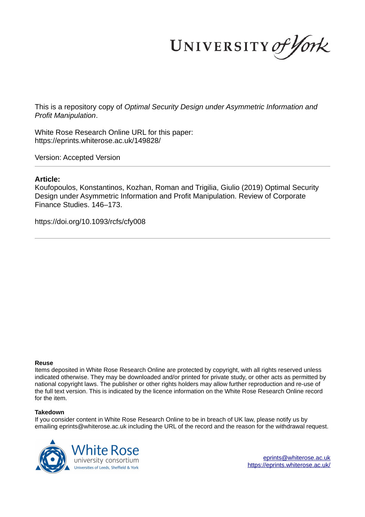UNIVERSITY of York

This is a repository copy of *Optimal Security Design under Asymmetric Information and Profit Manipulation*.

White Rose Research Online URL for this paper: https://eprints.whiterose.ac.uk/149828/

Version: Accepted Version

### **Article:**

Koufopoulos, Konstantinos, Kozhan, Roman and Trigilia, Giulio (2019) Optimal Security Design under Asymmetric Information and Profit Manipulation. Review of Corporate Finance Studies. 146–173.

https://doi.org/10.1093/rcfs/cfy008

#### **Reuse**

Items deposited in White Rose Research Online are protected by copyright, with all rights reserved unless indicated otherwise. They may be downloaded and/or printed for private study, or other acts as permitted by national copyright laws. The publisher or other rights holders may allow further reproduction and re-use of the full text version. This is indicated by the licence information on the White Rose Research Online record for the item.

### **Takedown**

If you consider content in White Rose Research Online to be in breach of UK law, please notify us by emailing eprints@whiterose.ac.uk including the URL of the record and the reason for the withdrawal request.



eprints@whiterose.ac.uk https://eprints.whiterose.ac.uk/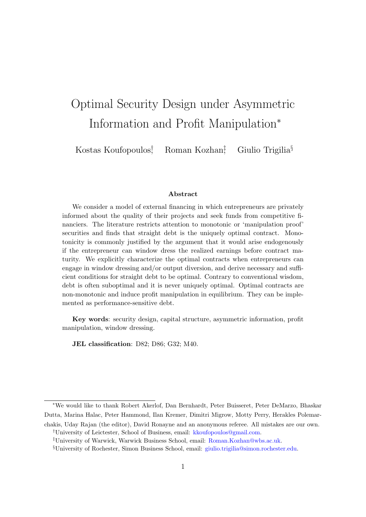# Optimal Security Design under Asymmetric Information and Profit Manipulation<sup>∗</sup>

Kostas Koufopoulos† Roman Kozhan<sup>‡</sup> Giulio Trigilia<sup>§</sup>

#### Abstract

We consider a model of external financing in which entrepreneurs are privately informed about the quality of their projects and seek funds from competitive financiers. The literature restricts attention to monotonic or 'manipulation proof' securities and finds that straight debt is the uniquely optimal contract. Monotonicity is commonly justified by the argument that it would arise endogenously if the entrepreneur can window dress the realized earnings before contract maturity. We explicitly characterize the optimal contracts when entrepreneurs can engage in window dressing and/or output diversion, and derive necessary and sufficient conditions for straight debt to be optimal. Contrary to conventional wisdom, debt is often suboptimal and it is never uniquely optimal. Optimal contracts are non-monotonic and induce profit manipulation in equilibrium. They can be implemented as performance-sensitive debt.

Key words: security design, capital structure, asymmetric information, profit manipulation, window dressing.

JEL classification: D82; D86; G32; M40.

†University of Leictester, School of Business, email: kkoufopoulos@gmail.com.

<sup>∗</sup>We would like to thank Robert Akerlof, Dan Bernhardt, Peter Buisseret, Peter DeMarzo, Bhaskar Dutta, Marina Halac, Peter Hammond, Ilan Kremer, Dimitri Migrow, Motty Perry, Herakles Polemarchakis, Uday Rajan (the editor), David Ronayne and an anonymous referee. All mistakes are our own.

<sup>‡</sup>University of Warwick, Warwick Business School, email: Roman.Kozhan@wbs.ac.uk.

<sup>§</sup>University of Rochester, Simon Business School, email: giulio.trigilia@simon.rochester.edu.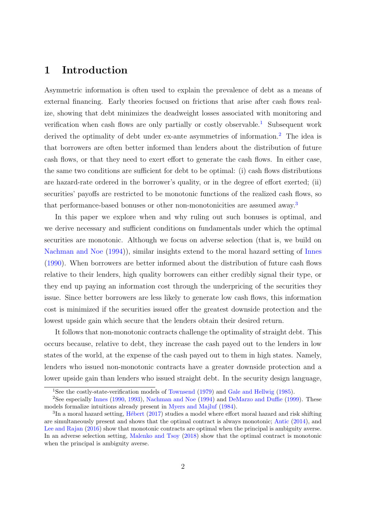# 1 Introduction

Asymmetric information is often used to explain the prevalence of debt as a means of external financing. Early theories focused on frictions that arise after cash flows realize, showing that debt minimizes the deadweight losses associated with monitoring and verification when cash flows are only partially or costly observable.<sup>1</sup> Subsequent work derived the optimality of debt under ex-ante asymmetries of information.<sup>2</sup> The idea is that borrowers are often better informed than lenders about the distribution of future cash flows, or that they need to exert effort to generate the cash flows. In either case, the same two conditions are sufficient for debt to be optimal: (i) cash flows distributions are hazard-rate ordered in the borrower's quality, or in the degree of effort exerted; (ii) securities' payoffs are restricted to be monotonic functions of the realized cash flows, so that performance-based bonuses or other non-monotonicities are assumed away.<sup>3</sup>

In this paper we explore when and why ruling out such bonuses is optimal, and we derive necessary and sufficient conditions on fundamentals under which the optimal securities are monotonic. Although we focus on adverse selection (that is, we build on Nachman and Noe (1994)), similar insights extend to the moral hazard setting of Innes (1990). When borrowers are better informed about the distribution of future cash flows relative to their lenders, high quality borrowers can either credibly signal their type, or they end up paying an information cost through the underpricing of the securities they issue. Since better borrowers are less likely to generate low cash flows, this information cost is minimized if the securities issued offer the greatest downside protection and the lowest upside gain which secure that the lenders obtain their desired return.

It follows that non-monotonic contracts challenge the optimality of straight debt. This occurs because, relative to debt, they increase the cash payed out to the lenders in low states of the world, at the expense of the cash payed out to them in high states. Namely, lenders who issued non-monotonic contracts have a greater downside protection and a lower upside gain than lenders who issued straight debt. In the security design language,

<sup>1</sup>See the costly-state-verification models of Townsend (1979) and Gale and Hellwig (1985).

<sup>&</sup>lt;sup>2</sup>See especially Innes (1990, 1993), Nachman and Noe (1994) and DeMarzo and Duffie (1999). These models formalize intuitions already present in Myers and Majluf (1984).

 ${}^{3}$ In a moral hazard setting, Hébert (2017) studies a model where effort moral hazard and risk shifting are simultaneously present and shows that the optimal contract is always monotonic; Antic (2014), and Lee and Rajan (2016) show that monotonic contracts are optimal when the principal is ambiguity averse. In an adverse selection setting, Malenko and Tsoy (2018) show that the optimal contract is monotonic when the principal is ambiguity averse.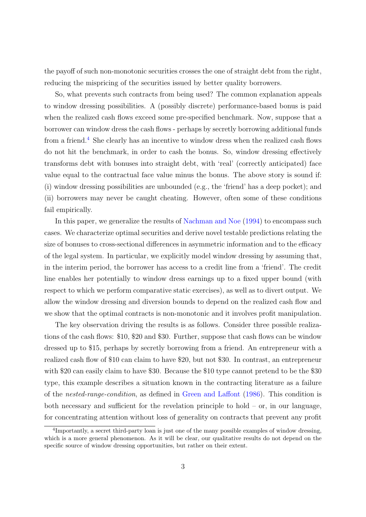the payoff of such non-monotonic securities crosses the one of straight debt from the right, reducing the mispricing of the securities issued by better quality borrowers.

So, what prevents such contracts from being used? The common explanation appeals to window dressing possibilities. A (possibly discrete) performance-based bonus is paid when the realized cash flows exceed some pre-specified benchmark. Now, suppose that a borrower can window dress the cash flows - perhaps by secretly borrowing additional funds from a friend.<sup>4</sup> She clearly has an incentive to window dress when the realized cash flows do not hit the benchmark, in order to cash the bonus. So, window dressing effectively transforms debt with bonuses into straight debt, with 'real' (correctly anticipated) face value equal to the contractual face value minus the bonus. The above story is sound if: (i) window dressing possibilities are unbounded (e.g., the 'friend' has a deep pocket); and (ii) borrowers may never be caught cheating. However, often some of these conditions fail empirically.

In this paper, we generalize the results of Nachman and Noe (1994) to encompass such cases. We characterize optimal securities and derive novel testable predictions relating the size of bonuses to cross-sectional differences in asymmetric information and to the efficacy of the legal system. In particular, we explicitly model window dressing by assuming that, in the interim period, the borrower has access to a credit line from a 'friend'. The credit line enables her potentially to window dress earnings up to a fixed upper bound (with respect to which we perform comparative static exercises), as well as to divert output. We allow the window dressing and diversion bounds to depend on the realized cash flow and we show that the optimal contracts is non-monotonic and it involves profit manipulation.

The key observation driving the results is as follows. Consider three possible realizations of the cash flows: \$10, \$20 and \$30. Further, suppose that cash flows can be window dressed up to \$15, perhaps by secretly borrowing from a friend. An entrepreneur with a realized cash flow of \$10 can claim to have \$20, but not \$30. In contrast, an entrepreneur with \$20 can easily claim to have \$30. Because the \$10 type cannot pretend to be the \$30 type, this example describes a situation known in the contracting literature as a failure of the nested-range-condition, as defined in Green and Laffont (1986). This condition is both necessary and sufficient for the revelation principle to hold – or, in our language, for concentrating attention without loss of generality on contracts that prevent any profit

<sup>&</sup>lt;sup>4</sup>Importantly, a secret third-party loan is just one of the many possible examples of window dressing, which is a more general phenomenon. As it will be clear, our qualitative results do not depend on the specific source of window dressing opportunities, but rather on their extent.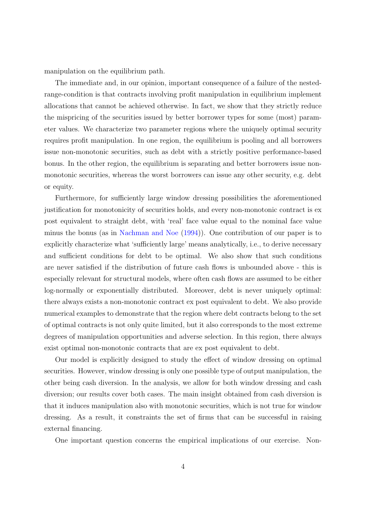manipulation on the equilibrium path.

The immediate and, in our opinion, important consequence of a failure of the nestedrange-condition is that contracts involving profit manipulation in equilibrium implement allocations that cannot be achieved otherwise. In fact, we show that they strictly reduce the mispricing of the securities issued by better borrower types for some (most) parameter values. We characterize two parameter regions where the uniquely optimal security requires profit manipulation. In one region, the equilibrium is pooling and all borrowers issue non-monotonic securities, such as debt with a strictly positive performance-based bonus. In the other region, the equilibrium is separating and better borrowers issue nonmonotonic securities, whereas the worst borrowers can issue any other security, e.g. debt or equity.

Furthermore, for sufficiently large window dressing possibilities the aforementioned justification for monotonicity of securities holds, and every non-monotonic contract is ex post equivalent to straight debt, with 'real' face value equal to the nominal face value minus the bonus (as in Nachman and Noe (1994)). One contribution of our paper is to explicitly characterize what 'sufficiently large' means analytically, i.e., to derive necessary and sufficient conditions for debt to be optimal. We also show that such conditions are never satisfied if the distribution of future cash flows is unbounded above - this is especially relevant for structural models, where often cash flows are assumed to be either log-normally or exponentially distributed. Moreover, debt is never uniquely optimal: there always exists a non-monotonic contract ex post equivalent to debt. We also provide numerical examples to demonstrate that the region where debt contracts belong to the set of optimal contracts is not only quite limited, but it also corresponds to the most extreme degrees of manipulation opportunities and adverse selection. In this region, there always exist optimal non-monotonic contracts that are ex post equivalent to debt.

Our model is explicitly designed to study the effect of window dressing on optimal securities. However, window dressing is only one possible type of output manipulation, the other being cash diversion. In the analysis, we allow for both window dressing and cash diversion; our results cover both cases. The main insight obtained from cash diversion is that it induces manipulation also with monotonic securities, which is not true for window dressing. As a result, it constraints the set of firms that can be successful in raising external financing.

One important question concerns the empirical implications of our exercise. Non-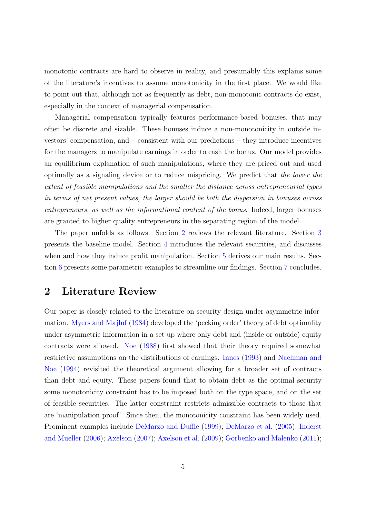monotonic contracts are hard to observe in reality, and presumably this explains some of the literature's incentives to assume monotonicity in the first place. We would like to point out that, although not as frequently as debt, non-monotonic contracts do exist, especially in the context of managerial compensation.

Managerial compensation typically features performance-based bonuses, that may often be discrete and sizable. These bonuses induce a non-monotonicity in outside investors' compensation, and – consistent with our predictions – they introduce incentives for the managers to manipulate earnings in order to cash the bonus. Our model provides an equilibrium explanation of such manipulations, where they are priced out and used optimally as a signaling device or to reduce mispricing. We predict that the lower the extent of feasible manipulations and the smaller the distance across entrepreneurial types in terms of net present values, the larger should be both the dispersion in bonuses across entrepreneurs, as well as the informational content of the bonus. Indeed, larger bonuses are granted to higher quality entrepreneurs in the separating region of the model.

The paper unfolds as follows. Section 2 reviews the relevant literature. Section 3 presents the baseline model. Section 4 introduces the relevant securities, and discusses when and how they induce profit manipulation. Section 5 derives our main results. Section 6 presents some parametric examples to streamline our findings. Section 7 concludes.

## 2 Literature Review

Our paper is closely related to the literature on security design under asymmetric information. Myers and Majluf (1984) developed the 'pecking order' theory of debt optimality under asymmetric information in a set up where only debt and (inside or outside) equity contracts were allowed. Noe (1988) first showed that their theory required somewhat restrictive assumptions on the distributions of earnings. Innes (1993) and Nachman and Noe (1994) revisited the theoretical argument allowing for a broader set of contracts than debt and equity. These papers found that to obtain debt as the optimal security some monotonicity constraint has to be imposed both on the type space, and on the set of feasible securities. The latter constraint restricts admissible contracts to those that are 'manipulation proof'. Since then, the monotonicity constraint has been widely used. Prominent examples include DeMarzo and Duffie (1999); DeMarzo et al. (2005); Inderst and Mueller (2006); Axelson (2007); Axelson et al. (2009); Gorbenko and Malenko (2011);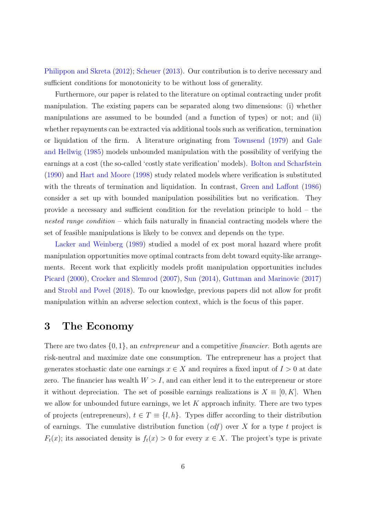Philippon and Skreta (2012); Scheuer (2013). Our contribution is to derive necessary and sufficient conditions for monotonicity to be without loss of generality.

Furthermore, our paper is related to the literature on optimal contracting under profit manipulation. The existing papers can be separated along two dimensions: (i) whether manipulations are assumed to be bounded (and a function of types) or not; and (ii) whether repayments can be extracted via additional tools such as verification, termination or liquidation of the firm. A literature originating from Townsend (1979) and Gale and Hellwig (1985) models unbounded manipulation with the possibility of verifying the earnings at a cost (the so-called 'costly state verification' models). Bolton and Scharfstein (1990) and Hart and Moore (1998) study related models where verification is substituted with the threats of termination and liquidation. In contrast, Green and Laffont (1986) consider a set up with bounded manipulation possibilities but no verification. They provide a necessary and sufficient condition for the revelation principle to hold – the nested range condition – which fails naturally in financial contracting models where the set of feasible manipulations is likely to be convex and depends on the type.

Lacker and Weinberg (1989) studied a model of ex post moral hazard where profit manipulation opportunities move optimal contracts from debt toward equity-like arrangements. Recent work that explicitly models profit manipulation opportunities includes Picard (2000), Crocker and Slemrod (2007), Sun (2014), Guttman and Marinovic (2017) and Strobl and Povel (2018). To our knowledge, previous papers did not allow for profit manipulation within an adverse selection context, which is the focus of this paper.

### 3 The Economy

There are two dates  $\{0,1\}$ , an *entrepreneur* and a competitive *financier*. Both agents are risk-neutral and maximize date one consumption. The entrepreneur has a project that generates stochastic date one earnings  $x \in X$  and requires a fixed input of  $I > 0$  at date zero. The financier has wealth  $W > I$ , and can either lend it to the entrepreneur or store it without depreciation. The set of possible earnings realizations is  $X \equiv [0, K]$ . When we allow for unbounded future earnings, we let  $K$  approach infinity. There are two types of projects (entrepreneurs),  $t \in T \equiv \{l, h\}$ . Types differ according to their distribution of earnings. The cumulative distribution function  $(cdf)$  over X for a type t project is  $F_t(x)$ ; its associated density is  $f_t(x) > 0$  for every  $x \in X$ . The project's type is private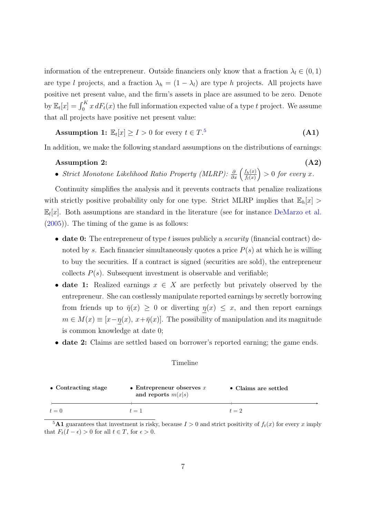information of the entrepreneur. Outside financiers only know that a fraction  $\lambda_l \in (0,1)$ are type l projects, and a fraction  $\lambda_h = (1 - \lambda_l)$  are type h projects. All projects have positive net present value, and the firm's assets in place are assumed to be zero. Denote by  $\mathbb{E}_t[x] = \int_0^K x dF_t(x)$  the full information expected value of a type t project. We assume that all projects have positive net present value:

Assumption 1:  $\mathbb{E}_t[x] \geq I > 0$  for every  $t \in T$ .<sup>5</sup> (A1)

In addition, we make the following standard assumptions on the distributions of earnings:

### $\lambda$ ssumption 2:  $(A2)$

• Strict Monotone Likelihood Ratio Property (MLRP):  $\frac{\partial}{\partial x} \left( \frac{f_h(x)}{f_l(x)} \right)$  $f_l(x)$  $\Big) > 0$  for every x.

Continuity simplifies the analysis and it prevents contracts that penalize realizations with strictly positive probability only for one type. Strict MLRP implies that  $\mathbb{E}_h[x] >$  $\mathbb{E}_l[x]$ . Both assumptions are standard in the literature (see for instance DeMarzo et al. (2005)). The timing of the game is as follows:

- date 0: The entrepreneur of type t issues publicly a *security* (financial contract) denoted by s. Each financier simultaneously quotes a price  $P(s)$  at which he is willing to buy the securities. If a contract is signed (securities are sold), the entrepreneur collects  $P(s)$ . Subsequent investment is observable and verifiable;
- date 1: Realized earnings  $x \in X$  are perfectly but privately observed by the entrepreneur. She can costlessly manipulate reported earnings by secretly borrowing from friends up to  $\bar{\eta}(x) \geq 0$  or diverting  $\underline{\eta}(x) \leq x$ , and then report earnings  $m \in M(x) \equiv [x - \eta(x), x + \overline{\eta}(x)].$  The possibility of manipulation and its magnitude is common knowledge at date 0;
- date 2: Claims are settled based on borrower's reported earning; the game ends.

#### Timeline

| • Contracting stage | • Entrepreneur observes $x$<br>and reports $m(x s)$ | • Claims are settled |
|---------------------|-----------------------------------------------------|----------------------|
| $t=0$               | $t=1$                                               | $t=2$                |

<sup>&</sup>lt;sup>5</sup>A1 guarantees that investment is risky, because  $I > 0$  and strict positivity of  $f_t(x)$  for every x imply that  $F_t(I - \epsilon) > 0$  for all  $t \in T$ , for  $\epsilon > 0$ .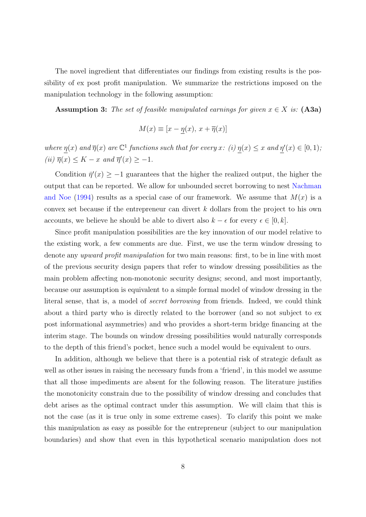The novel ingredient that differentiates our findings from existing results is the possibility of ex post profit manipulation. We summarize the restrictions imposed on the manipulation technology in the following assumption:

Assumption 3: The set of feasible manipulated earnings for given  $x \in X$  is: (A3a)

$$
M(x) \equiv [x - \eta(x), x + \overline{\eta}(x)]
$$

where  $\eta(x)$  and  $\overline{\eta}(x)$  are  $\mathbb{C}^1$  functions such that for every x: (i)  $\eta(x) \leq x$  and  $\eta'(x) \in [0,1)$ ; (*ii*)  $\overline{\eta}(x) \leq K - x$  and  $\overline{\eta}'(x) \geq -1$ .

Condition  $\bar{\eta}'(x) \geq -1$  guarantees that the higher the realized output, the higher the output that can be reported. We allow for unbounded secret borrowing to nest Nachman and Noe (1994) results as a special case of our framework. We assume that  $M(x)$  is a convex set because if the entrepreneur can divert k dollars from the project to his own accounts, we believe he should be able to divert also  $k - \epsilon$  for every  $\epsilon \in [0, k]$ .

Since profit manipulation possibilities are the key innovation of our model relative to the existing work, a few comments are due. First, we use the term window dressing to denote any *upward profit manipulation* for two main reasons: first, to be in line with most of the previous security design papers that refer to window dressing possibilities as the main problem affecting non-monotonic security designs; second, and most importantly, because our assumption is equivalent to a simple formal model of window dressing in the literal sense, that is, a model of secret borrowing from friends. Indeed, we could think about a third party who is directly related to the borrower (and so not subject to ex post informational asymmetries) and who provides a short-term bridge financing at the interim stage. The bounds on window dressing possibilities would naturally corresponds to the depth of this friend's pocket, hence such a model would be equivalent to ours.

In addition, although we believe that there is a potential risk of strategic default as well as other issues in raising the necessary funds from a 'friend', in this model we assume that all those impediments are absent for the following reason. The literature justifies the monotonicity constrain due to the possibility of window dressing and concludes that debt arises as the optimal contract under this assumption. We will claim that this is not the case (as it is true only in some extreme cases). To clarify this point we make this manipulation as easy as possible for the entrepreneur (subject to our manipulation boundaries) and show that even in this hypothetical scenario manipulation does not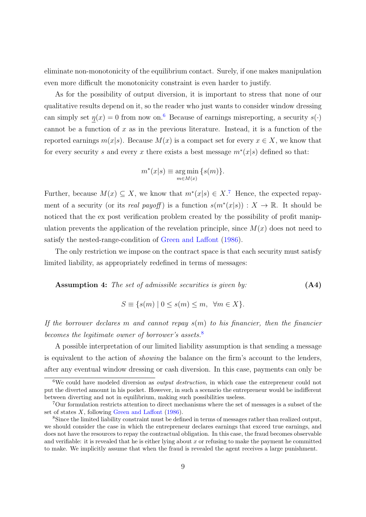eliminate non-monotonicity of the equilibrium contact. Surely, if one makes manipulation even more difficult the monotonicity constraint is even harder to justify.

As for the possibility of output diversion, it is important to stress that none of our qualitative results depend on it, so the reader who just wants to consider window dressing can simply set  $\eta(x) = 0$  from now on.<sup>6</sup> Because of earnings misreporting, a security  $s(\cdot)$ cannot be a function of  $x$  as in the previous literature. Instead, it is a function of the reported earnings  $m(x|s)$ . Because  $M(x)$  is a compact set for every  $x \in X$ , we know that for every security s and every x there exists a best message  $m^*(x|s)$  defined so that:

$$
m^*(x|s) \equiv \underset{m \in M(x)}{\arg \min} \{s(m)\}.
$$

Further, because  $M(x) \subseteq X$ , we know that  $m^*(x|s) \in X$ .<sup>7</sup> Hence, the expected repayment of a security (or its *real payoff*) is a function  $s(m^*(x|s)) : X \to \mathbb{R}$ . It should be noticed that the ex post verification problem created by the possibility of profit manipulation prevents the application of the revelation principle, since  $M(x)$  does not need to satisfy the nested-range-condition of Green and Laffont (1986).

The only restriction we impose on the contract space is that each security must satisfy limited liability, as appropriately redefined in terms of messages:

**Assumption 4:** The set of admissible securities is given by:\n
$$
(A4)
$$

$$
S \equiv \{ s(m) \mid 0 \le s(m) \le m, \forall m \in X \}.
$$

If the borrower declares m and cannot repay  $s(m)$  to his financier, then the financier becomes the legitimate owner of borrower's assets.<sup>8</sup>

A possible interpretation of our limited liability assumption is that sending a message is equivalent to the action of showing the balance on the firm's account to the lenders, after any eventual window dressing or cash diversion. In this case, payments can only be

 $6$ We could have modeled diversion as *output destruction*, in which case the entrepreneur could not put the diverted amount in his pocket. However, in such a scenario the entrepreneur would be indifferent between diverting and not in equilibrium, making such possibilities useless.

<sup>7</sup>Our formulation restricts attention to direct mechanisms where the set of messages is a subset of the set of states  $X$ , following Green and Laffont (1986).

<sup>8</sup>Since the limited liability constraint must be defined in terms of messages rather than realized output, we should consider the case in which the entrepreneur declares earnings that exceed true earnings, and does not have the resources to repay the contractual obligation. In this case, the fraud becomes observable and verifiable: it is revealed that he is either lying about x or refusing to make the payment he committed to make. We implicitly assume that when the fraud is revealed the agent receives a large punishment.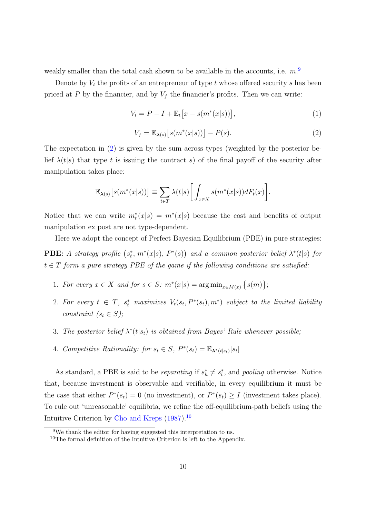weakly smaller than the total cash shown to be available in the accounts, i.e.  $m<sup>9</sup>$ 

Denote by  $V_t$  the profits of an entrepreneur of type t whose offered security s has been priced at P by the financier, and by  $V_f$  the financier's profits. Then we can write:

$$
V_t = P - I + \mathbb{E}_t[x - s(m^*(x|s))],
$$
\n(1)

$$
V_f = \mathbb{E}_{\lambda(s)}\big[s(m^*(x|s))\big] - P(s). \tag{2}
$$

The expectation in (2) is given by the sum across types (weighted by the posterior belief  $\lambda(t|s)$  that type t is issuing the contract s) of the final payoff of the security after manipulation takes place:

$$
\mathbb{E}_{\lambda(s)}\big[s(m^*(x|s))\big] \equiv \sum_{t \in T} \lambda(t|s) \bigg[ \int_{x \in X} s(m^*(x|s)) dF_t(x) \bigg].
$$

Notice that we can write  $m_t^*(x|s) = m^*(x|s)$  because the cost and benefits of output manipulation ex post are not type-dependent.

Here we adopt the concept of Perfect Bayesian Equilibrium (PBE) in pure strategies: **PBE:** A strategy profile  $(s_t^*, m^*(x|s), P^*(s))$  and a common posterior belief  $\lambda^*(t|s)$  for  $t \in T$  form a pure strategy PBE of the game if the following conditions are satisfied:

- 1. For every  $x \in X$  and for  $s \in S$ :  $m^*(x|s) = \arg \min_{x \in M(x)} \{s(m)\};$
- 2. For every  $t \in T$ ,  $s_t^*$  maximizes  $V_t(s_t, P^*(s_t), m^*)$  subject to the limited liability constraint  $(s_t \in S)$ ;
- 3. The posterior belief  $\lambda^*(t|s_t)$  is obtained from Bayes' Rule whenever possible,
- 4. Competitive Rationality: for  $s_t \in S$ ,  $P^*(s_t) = \mathbb{E}_{\lambda^*(t|s_t)}[s_t]$

As standard, a PBE is said to be *separating* if  $s_h^* \neq s_l^*$ , and *pooling* otherwise. Notice that, because investment is observable and verifiable, in every equilibrium it must be the case that either  $P^*(s_t) = 0$  (no investment), or  $P^*(s_t) \geq I$  (investment takes place). To rule out 'unreasonable' equilibria, we refine the off-equilibrium-path beliefs using the Intuitive Criterion by Cho and Kreps  $(1987)$ <sup>10</sup>

<sup>9</sup>We thank the editor for having suggested this interpretation to us.

<sup>&</sup>lt;sup>10</sup>The formal definition of the Intuitive Criterion is left to the Appendix.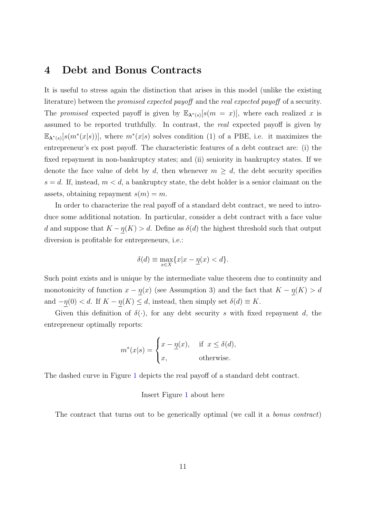## 4 Debt and Bonus Contracts

It is useful to stress again the distinction that arises in this model (unlike the existing literature) between the *promised expected payoff* and the *real expected payoff* of a security. The promised expected payoff is given by  $\mathbb{E}_{\lambda^*(s)}[s(m = x)]$ , where each realized x is assumed to be reported truthfully. In contrast, the real expected payoff is given by  $\mathbb{E}_{\lambda^*(s)}[s(m^*(x|s))]$ , where  $m^*(x|s)$  solves condition (1) of a PBE, i.e. it maximizes the entrepreneur's ex post payoff. The characteristic features of a debt contract are: (i) the fixed repayment in non-bankruptcy states; and (ii) seniority in bankruptcy states. If we denote the face value of debt by d, then whenever  $m \geq d$ , the debt security specifies  $s = d$ . If, instead,  $m < d$ , a bankruptcy state, the debt holder is a senior claimant on the assets, obtaining repayment  $s(m) = m$ .

In order to characterize the real payoff of a standard debt contract, we need to introduce some additional notation. In particular, consider a debt contract with a face value d and suppose that  $K - \eta(K) > d$ . Define as  $\delta(d)$  the highest threshold such that output diversion is profitable for entrepreneurs, i.e.:

$$
\delta(d) \equiv \max_{x \in X} \{x | x - \underline{\eta}(x) < d\}.
$$

Such point exists and is unique by the intermediate value theorem due to continuity and monotonicity of function  $x - \eta(x)$  (see Assumption 3) and the fact that  $K - \eta(K) > d$ and  $-\underline{\eta}(0) < d$ . If  $K - \underline{\eta}(K) \leq d$ , instead, then simply set  $\delta(d) \equiv K$ .

Given this definition of  $\delta(\cdot)$ , for any debt security s with fixed repayment d, the entrepreneur optimally reports:

$$
m^*(x|s) = \begin{cases} x - \underline{\eta}(x), & \text{if } x \le \delta(d), \\ x, & \text{otherwise.} \end{cases}
$$

The dashed curve in Figure 1 depicts the real payoff of a standard debt contract.

### Insert Figure 1 about here

The contract that turns out to be generically optimal (we call it a *bonus contract*)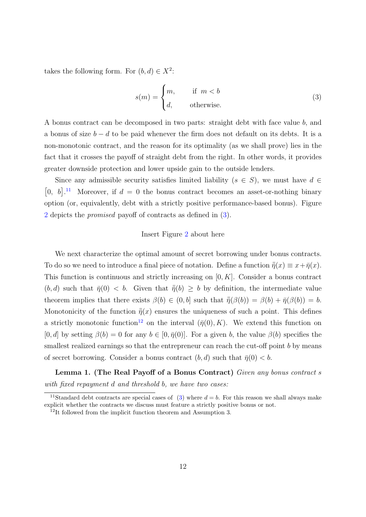takes the following form. For  $(b, d) \in X^2$ :

$$
s(m) = \begin{cases} m, & \text{if } m < b \\ d, & \text{otherwise.} \end{cases}
$$
 (3)

A bonus contract can be decomposed in two parts: straight debt with face value b, and a bonus of size  $b - d$  to be paid whenever the firm does not default on its debts. It is a non-monotonic contract, and the reason for its optimality (as we shall prove) lies in the fact that it crosses the payoff of straight debt from the right. In other words, it provides greater downside protection and lower upside gain to the outside lenders.

Since any admissible security satisfies limited liability  $(s \in S)$ , we must have  $d \in$ [0, b].<sup>11</sup> Moreover, if  $d = 0$  the bonus contract becomes an asset-or-nothing binary option (or, equivalently, debt with a strictly positive performance-based bonus). Figure 2 depicts the *promised* payoff of contracts as defined in (3).

### Insert Figure 2 about here

We next characterize the optimal amount of secret borrowing under bonus contracts. To do so we need to introduce a final piece of notation. Define a function  $\bar{\bar{\eta}}(x) \equiv x + \bar{\eta}(x)$ . This function is continuous and strictly increasing on  $[0, K]$ . Consider a bonus contract  $(b, d)$  such that  $\bar{\eta}(0) < b$ . Given that  $\bar{\eta}(b) \geq b$  by definition, the intermediate value theorem implies that there exists  $\beta(b) \in (0, b]$  such that  $\bar{\eta}(\beta(b)) = \beta(b) + \bar{\eta}(\beta(b)) = b$ . Monotonicity of the function  $\bar{\bar{\eta}}(x)$  ensures the uniqueness of such a point. This defines a strictly monotonic function<sup>12</sup> on the interval  $(\bar{\eta}(0), K)$ . We extend this function on [0, d] by setting  $\beta(b) = 0$  for any  $b \in [0, \bar{\eta}(0)]$ . For a given b, the value  $\beta(b)$  specifies the smallest realized earnings so that the entrepreneur can reach the cut-off point b by means of secret borrowing. Consider a bonus contract  $(b, d)$  such that  $\bar{\eta}(0) < b$ .

Lemma 1. (The Real Payoff of a Bonus Contract) Given any bonus contract s with fixed repayment d and threshold b, we have two cases:

<sup>&</sup>lt;sup>11</sup>Standard debt contracts are special cases of (3) where  $d = b$ . For this reason we shall always make explicit whether the contracts we discuss must feature a strictly positive bonus or not.

<sup>&</sup>lt;sup>12</sup>It followed from the implicit function theorem and Assumption 3.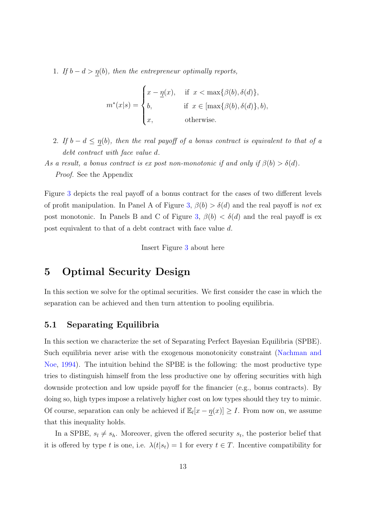1. If  $b - d > \underline{\eta}(b)$ , then the entrepreneur optimally reports,

$$
m^*(x|s) = \begin{cases} x - \underline{\eta}(x), & \text{if } x < \max\{\beta(b), \delta(d)\}, \\ b, & \text{if } x \in [\max\{\beta(b), \delta(d)\}, b), \\ x, & \text{otherwise.} \end{cases}
$$

- 2. If  $b d \leq \underline{\eta}(b)$ , then the real payoff of a bonus contract is equivalent to that of a debt contract with face value d.
- As a result, a bonus contract is ex post non-monotonic if and only if  $\beta(b) > \delta(d)$ . Proof. See the Appendix

Figure 3 depicts the real payoff of a bonus contract for the cases of two different levels of profit manipulation. In Panel A of Figure 3,  $\beta(b) > \delta(d)$  and the real payoff is not ex post monotonic. In Panels B and C of Figure 3,  $\beta(b) < \delta(d)$  and the real payoff is ex post equivalent to that of a debt contract with face value d.

Insert Figure 3 about here

# 5 Optimal Security Design

In this section we solve for the optimal securities. We first consider the case in which the separation can be achieved and then turn attention to pooling equilibria.

### 5.1 Separating Equilibria

In this section we characterize the set of Separating Perfect Bayesian Equilibria (SPBE). Such equilibria never arise with the exogenous monotonicity constraint (Nachman and Noe, 1994). The intuition behind the SPBE is the following: the most productive type tries to distinguish himself from the less productive one by offering securities with high downside protection and low upside payoff for the financier (e.g., bonus contracts). By doing so, high types impose a relatively higher cost on low types should they try to mimic. Of course, separation can only be achieved if  $\mathbb{E}_l[x - \eta(x)] \geq I$ . From now on, we assume that this inequality holds.

In a SPBE,  $s_l \neq s_h$ . Moreover, given the offered security  $s_t$ , the posterior belief that it is offered by type t is one, i.e.  $\lambda(t|s_t) = 1$  for every  $t \in T$ . Incentive compatibility for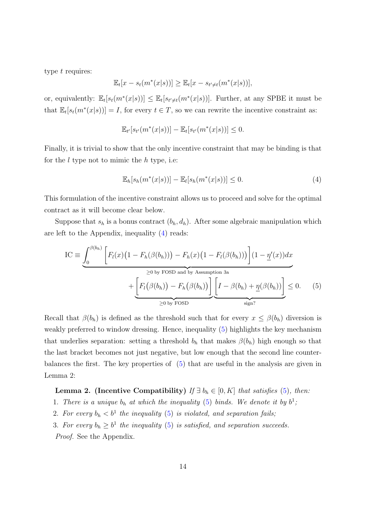type t requires:

$$
\mathbb{E}_t[x - s_t(m^*(x|s))] \ge \mathbb{E}_t[x - s_{t' \neq t}(m^*(x|s))],
$$

or, equivalently:  $\mathbb{E}_t[s_t(m^*(x|s))] \leq \mathbb{E}_t[s_{t' \neq t}(m^*(x|s))]$ . Further, at any SPBE it must be that  $\mathbb{E}_t[s_t(m^*(x|s))] = I$ , for every  $t \in T$ , so we can rewrite the incentive constraint as:

$$
\mathbb{E}_{t'}[s_{t'}(m^*(x|s))] - \mathbb{E}_t[s_{t'}(m^*(x|s))] \leq 0.
$$

Finally, it is trivial to show that the only incentive constraint that may be binding is that for the  $l$  type not to mimic the  $h$  type, i.e:

$$
\mathbb{E}_h[s_h(m^*(x|s))] - \mathbb{E}_l[s_h(m^*(x|s))] \le 0.
$$
\n
$$
(4)
$$

This formulation of the incentive constraint allows us to proceed and solve for the optimal contract as it will become clear below.

Suppose that  $s_h$  is a bonus contract  $(b_h, d_h)$ . After some algebraic manipulation which are left to the Appendix, inequality (4) reads:

$$
IC \equiv \underbrace{\int_0^{\beta(b_h)} \left[ F_l(x) \left( 1 - F_h(\beta(b_h)) \right) - F_h(x) \left( 1 - F_l(\beta(b_h)) \right) \right] (1 - \underline{\eta'}(x)) dx}_{\geq 0 \text{ by FOSD and by Assumption 3a}} + \underbrace{\left[ F_l(\beta(b_h)) - F_h(\beta(b_h)) \right] \left[ I - \beta(b_h) + \underline{\eta}(\beta(b_h)) \right]}_{\geq 0 \text{ by FOSD}} \leq 0. \tag{5}
$$

Recall that  $\beta(b_h)$  is defined as the threshold such that for every  $x \leq \beta(b_h)$  diversion is weakly preferred to window dressing. Hence, inequality (5) highlights the key mechanism that underlies separation: setting a threshold  $b<sub>h</sub>$  that makes  $\beta(b<sub>h</sub>)$  high enough so that the last bracket becomes not just negative, but low enough that the second line counterbalances the first. The key properties of (5) that are useful in the analysis are given in Lemma 2:

Lemma 2. (Incentive Compatibility) If  $\exists b_h \in [0, K]$  that satisfies (5), then:

1. There is a unique  $b_h$  at which the inequality (5) binds. We denote it by  $b^1$ ,

- 2. For every  $b_h < b^1$  the inequality (5) is violated, and separation fails;
- 3. For every  $b_h \geq b^1$  the inequality (5) is satisfied, and separation succeeds.

Proof. See the Appendix.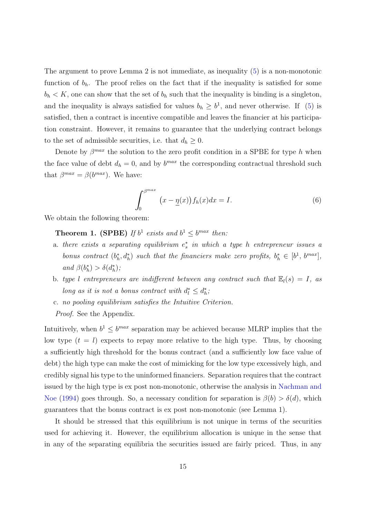The argument to prove Lemma 2 is not immediate, as inequality (5) is a non-monotonic function of  $b_h$ . The proof relies on the fact that if the inequality is satisfied for some  $b_h < K$ , one can show that the set of  $b_h$  such that the inequality is binding is a singleton, and the inequality is always satisfied for values  $b_h \geq b^1$ , and never otherwise. If (5) is satisfied, then a contract is incentive compatible and leaves the financier at his participation constraint. However, it remains to guarantee that the underlying contract belongs to the set of admissible securities, i.e. that  $d_h \geq 0$ .

Denote by  $\beta^{max}$  the solution to the zero profit condition in a SPBE for type h when the face value of debt  $d_h = 0$ , and by  $b^{max}$  the corresponding contractual threshold such that  $\beta^{max} = \beta(b^{max})$ . We have:

$$
\int_0^{\beta^{max}} (x - \underline{\eta}(x)) f_h(x) dx = I.
$$
 (6)

We obtain the following theorem:

**Theorem 1. (SPBE)** If  $b^1$  exists and  $b^1 \leq b^{max}$  then:

- a. there exists a separating equilibrium  $e_s^*$  in which a type h entrepreneur issues a bonus contract  $(b_h^*, d_h^*)$  such that the financiers make zero profits,  $b_h^* \in [b^1, b^{max}]$ , and  $\beta(b_h^*) > \delta(d_h^*)$ ;
- b. type l entrepreneurs are indifferent between any contract such that  $\mathbb{E}_l(s) = I$ , as long as it is not a bonus contract with  $d_l^* \leq d_h^*$ ;
- c. no pooling equilibrium satisfies the Intuitive Criterion.

Proof. See the Appendix.

Intuitively, when  $b^1 \leq b^{max}$  separation may be achieved because MLRP implies that the low type  $(t = l)$  expects to repay more relative to the high type. Thus, by choosing a sufficiently high threshold for the bonus contract (and a sufficiently low face value of debt) the high type can make the cost of mimicking for the low type excessively high, and credibly signal his type to the uninformed financiers. Separation requires that the contract issued by the high type is ex post non-monotonic, otherwise the analysis in Nachman and Noe (1994) goes through. So, a necessary condition for separation is  $\beta(b) > \delta(d)$ , which guarantees that the bonus contract is ex post non-monotonic (see Lemma 1).

It should be stressed that this equilibrium is not unique in terms of the securities used for achieving it. However, the equilibrium allocation is unique in the sense that in any of the separating equilibria the securities issued are fairly priced. Thus, in any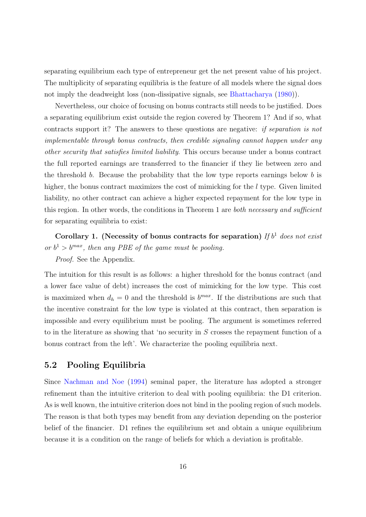separating equilibrium each type of entrepreneur get the net present value of his project. The multiplicity of separating equilibria is the feature of all models where the signal does not imply the deadweight loss (non-dissipative signals, see Bhattacharya (1980)).

Nevertheless, our choice of focusing on bonus contracts still needs to be justified. Does a separating equilibrium exist outside the region covered by Theorem 1? And if so, what contracts support it? The answers to these questions are negative: if separation is not implementable through bonus contracts, then credible signaling cannot happen under any other security that satisfies limited liability. This occurs because under a bonus contract the full reported earnings are transferred to the financier if they lie between zero and the threshold b. Because the probability that the low type reports earnings below b is higher, the bonus contract maximizes the cost of mimicking for the l type. Given limited liability, no other contract can achieve a higher expected repayment for the low type in this region. In other words, the conditions in Theorem 1 are *both necessary and sufficient* for separating equilibria to exist:

Corollary 1. (Necessity of bonus contracts for separation) If  $b<sup>1</sup>$  does not exist or  $b^1 > b^{max}$ , then any PBE of the game must be pooling.

Proof. See the Appendix.

The intuition for this result is as follows: a higher threshold for the bonus contract (and a lower face value of debt) increases the cost of mimicking for the low type. This cost is maximized when  $d_h = 0$  and the threshold is  $b^{max}$ . If the distributions are such that the incentive constraint for the low type is violated at this contract, then separation is impossible and every equilibrium must be pooling. The argument is sometimes referred to in the literature as showing that 'no security in  $S$  crosses the repayment function of a bonus contract from the left'. We characterize the pooling equilibria next.

### 5.2 Pooling Equilibria

Since Nachman and Noe (1994) seminal paper, the literature has adopted a stronger refinement than the intuitive criterion to deal with pooling equilibria: the D1 criterion. As is well known, the intuitive criterion does not bind in the pooling region of such models. The reason is that both types may benefit from any deviation depending on the posterior belief of the financier. D1 refines the equilibrium set and obtain a unique equilibrium because it is a condition on the range of beliefs for which a deviation is profitable.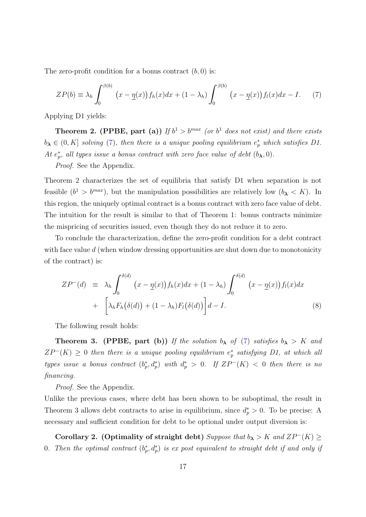The zero-profit condition for a bonus contract  $(b, 0)$  is:

$$
ZP(b) \equiv \lambda_h \int_0^{\beta(b)} (x - \underline{\eta}(x)) f_h(x) dx + (1 - \lambda_h) \int_0^{\beta(b)} (x - \underline{\eta}(x)) f_l(x) dx - I.
$$
 (7)

Applying D1 yields:

**Theorem 2. (PPBE, part (a))** If  $b^1 > b^{max}$  (or  $b^1$  does not exist) and there exists  $b_{\lambda} \in (0, K]$  solving (7), then there is a unique pooling equilibrium  $e_p^*$  which satisfies D1. At  $e_p^*$ , all types issue a bonus contract with zero face value of debt  $(b_{\lambda}, 0)$ .

Proof. See the Appendix.

Theorem 2 characterizes the set of equilibria that satisfy D1 when separation is not feasible  $(b^1 > b^{max})$ , but the manipulation possibilities are relatively low  $(b<sub>\lambda</sub> < K)$ . In this region, the uniquely optimal contract is a bonus contract with zero face value of debt. The intuition for the result is similar to that of Theorem 1: bonus contracts minimize the mispricing of securities issued, even though they do not reduce it to zero.

To conclude the characterization, define the zero-profit condition for a debt contract with face value  $d$  (when window dressing opportunities are shut down due to monotonicity of the contract) is:

$$
ZP^{-}(d) \equiv \lambda_h \int_0^{\delta(d)} (x - \underline{\eta}(x)) f_h(x) dx + (1 - \lambda_h) \int_0^{\delta(d)} (x - \underline{\eta}(x)) f_l(x) dx
$$
  
+ 
$$
\left[ \lambda_h F_h(\delta(d)) + (1 - \lambda_h) F_l(\delta(d)) \right] d - I.
$$
 (8)

The following result holds:

**Theorem 3.** (PPBE, part (b)) If the solution  $b_{\lambda}$  of (7) satisfies  $b_{\lambda} > K$  and  $ZP^{-}(K) \geq 0$  then there is a unique pooling equilibrium  $e_p^*$  satisfying D1, at which all types issue a bonus contract  $(b_p^*, d_p^*)$  with  $d_p^* > 0$ . If  $ZP^-(K) < 0$  then there is no financing.

Proof. See the Appendix.

Unlike the previous cases, where debt has been shown to be suboptimal, the result in Theorem 3 allows debt contracts to arise in equilibrium, since  $d_p^* > 0$ . To be precise: A necessary and sufficient condition for debt to be optional under output diversion is:

Corollary 2. (Optimality of straight debt) Suppose that  $b_{\lambda} > K$  and  $ZP^{-}(K) \ge$ 0. Then the optimal contract  $(b_p^*, d_p^*)$  is ex post equivalent to straight debt if and only if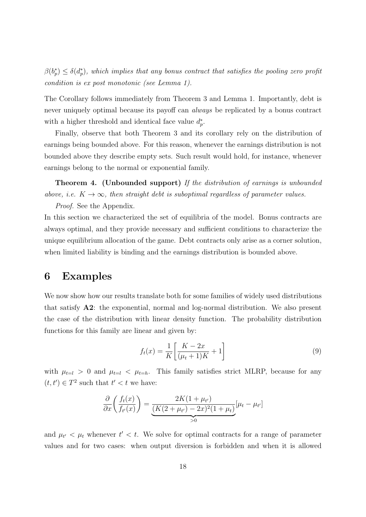$\beta(b_p^*) \leq \delta(d_p^*)$ , which implies that any bonus contract that satisfies the pooling zero profit condition is ex post monotonic (see Lemma 1).

The Corollary follows immediately from Theorem 3 and Lemma 1. Importantly, debt is never uniquely optimal because its payoff can *always* be replicated by a bonus contract with a higher threshold and identical face value  $d_p^*$ .

Finally, observe that both Theorem 3 and its corollary rely on the distribution of earnings being bounded above. For this reason, whenever the earnings distribution is not bounded above they describe empty sets. Such result would hold, for instance, whenever earnings belong to the normal or exponential family.

Theorem 4. (Unbounded support) If the distribution of earnings is unbounded above, i.e.  $K \to \infty$ , then straight debt is suboptimal regardless of parameter values.

Proof. See the Appendix.

In this section we characterized the set of equilibria of the model. Bonus contracts are always optimal, and they provide necessary and sufficient conditions to characterize the unique equilibrium allocation of the game. Debt contracts only arise as a corner solution, when limited liability is binding and the earnings distribution is bounded above.

## 6 Examples

We now show how our results translate both for some families of widely used distributions that satisfy A2: the exponential, normal and log-normal distribution. We also present the case of the distribution with linear density function. The probability distribution functions for this family are linear and given by:

$$
f_t(x) = \frac{1}{K} \left[ \frac{K - 2x}{(\mu_t + 1)K} + 1 \right]
$$
 (9)

with  $\mu_{t=l} > 0$  and  $\mu_{t=l} < \mu_{t=h}$ . This family satisfies strict MLRP, because for any  $(t, t') \in T^2$  such that  $t' < t$  we have:

$$
\frac{\partial}{\partial x}\bigg(\frac{f_t(x)}{f_{t'}(x)}\bigg) = \underbrace{\frac{2K(1+\mu_{t'})}{(K(2+\mu_{t'})-2x)^2(1+\mu_t)}}_{>0} [\mu_t - \mu_{t'}]
$$

and  $\mu_{t'} < \mu_t$  whenever  $t' < t$ . We solve for optimal contracts for a range of parameter values and for two cases: when output diversion is forbidden and when it is allowed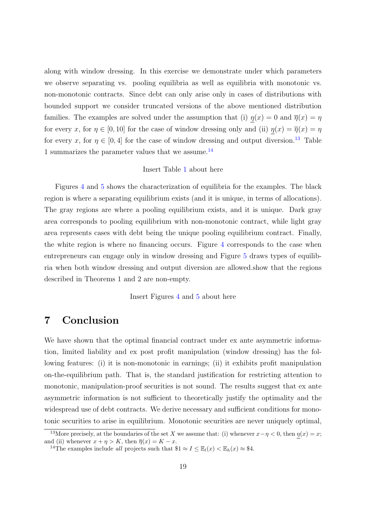along with window dressing. In this exercise we demonstrate under which parameters we observe separating vs. pooling equilibria as well as equilibria with monotonic vs. non-monotonic contracts. Since debt can only arise only in cases of distributions with bounded support we consider truncated versions of the above mentioned distribution families. The examples are solved under the assumption that (i)  $\eta(x) = 0$  and  $\overline{\eta}(x) = \eta$ for every x, for  $\eta \in [0, 10]$  for the case of window dressing only and (ii)  $\eta(x) = \overline{\eta}(x) = \eta$ for every x, for  $\eta \in [0, 4]$  for the case of window dressing and output diversion.<sup>13</sup> Table 1 summarizes the parameter values that we assume. $^{14}$ 

### Insert Table 1 about here

Figures 4 and 5 shows the characterization of equilibria for the examples. The black region is where a separating equilibrium exists (and it is unique, in terms of allocations). The gray regions are where a pooling equilibrium exists, and it is unique. Dark gray area corresponds to pooling equilibrium with non-monotonic contract, while light gray area represents cases with debt being the unique pooling equilibrium contract. Finally, the white region is where no financing occurs. Figure 4 corresponds to the case when entrepreneurs can engage only in window dressing and Figure 5 draws types of equilibria when both window dressing and output diversion are allowed.show that the regions described in Theorems 1 and 2 are non-empty.

Insert Figures 4 and 5 about here

# 7 Conclusion

We have shown that the optimal financial contract under ex ante asymmetric information, limited liability and ex post profit manipulation (window dressing) has the following features: (i) it is non-monotonic in earnings; (ii) it exhibits profit manipulation on-the-equilibrium path. That is, the standard justification for restricting attention to monotonic, manipulation-proof securities is not sound. The results suggest that ex ante asymmetric information is not sufficient to theoretically justify the optimality and the widespread use of debt contracts. We derive necessary and sufficient conditions for monotonic securities to arise in equilibrium. Monotonic securities are never uniquely optimal,

<sup>&</sup>lt;sup>13</sup>More precisely, at the boundaries of the set X we assume that: (i) whenever  $x - \eta < 0$ , then  $\eta(x) = x$ ; and (ii) whenever  $x + \eta > K$ , then  $\overline{\eta}(x) = K - x$ .

<sup>&</sup>lt;sup>14</sup>The examples include all projects such that  $1 \approx I \leq \mathbb{E}_l(x) < \mathbb{E}_h(x) \approx 1$ .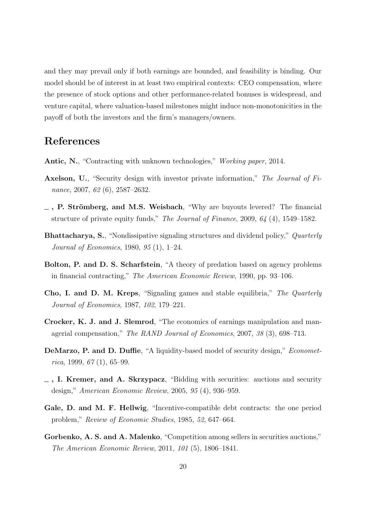and they may prevail only if both earnings are bounded, and feasibility is binding. Our model should be of interest in at least two empirical contexts: CEO compensation, where the presence of stock options and other performance-related bonuses is widespread, and venture capital, where valuation-based milestones might induce non-monotonicities in the payoff of both the investors and the firm's managers/owners.

# References

- Antic, N., "Contracting with unknown technologies," Working paper, 2014.
- Axelson, U., "Security design with investor private information," The Journal of Finance, 2007, 62 (6), 2587–2632.
- $\overline{\phantom{a}}$ , P. Strömberg, and M.S. Weisbach, "Why are buyouts levered? The financial structure of private equity funds," The Journal of Finance, 2009, 64 (4), 1549–1582.
- Bhattacharya, S., "Nondissipative signaling structures and dividend policy," Quarterly Journal of Economics, 1980, 95 (1), 1–24.
- Bolton, P. and D. S. Scharfstein, "A theory of predation based on agency problems in financial contracting," The American Economic Review, 1990, pp. 93–106.
- Cho, I. and D. M. Kreps, "Signaling games and stable equilibria," The Quarterly Journal of Economics, 1987, 102, 179–221.
- Crocker, K. J. and J. Slemrod, "The economics of earnings manipulation and managerial compensation," The RAND Journal of Economics, 2007, 38 (3), 698–713.
- DeMarzo, P. and D. Duffie, "A liquidity-based model of security design," *Economet*rica, 1999,  $67(1)$ , 65–99.
- $\Box$ , I. Kremer, and A. Skrzypacz, "Bidding with securities: auctions and security design," American Economic Review, 2005, 95 (4), 936–959.
- Gale, D. and M. F. Hellwig, "Incentive-compatible debt contracts: the one period problem," Review of Economic Studies, 1985, 52, 647–664.
- Gorbenko, A. S. and A. Malenko, "Competition among sellers in securities auctions," The American Economic Review, 2011, 101 (5), 1806–1841.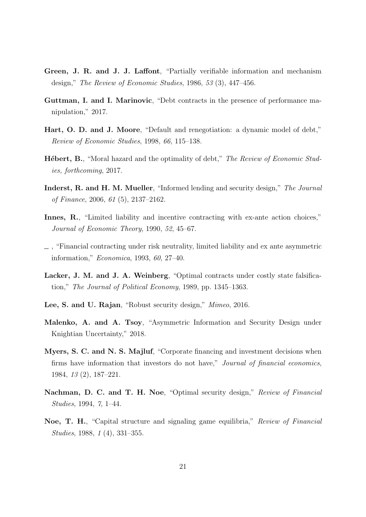- Green, J. R. and J. J. Laffont, "Partially verifiable information and mechanism design," The Review of Economic Studies, 1986, 53 (3), 447–456.
- Guttman, I. and I. Marinovic, "Debt contracts in the presence of performance manipulation," 2017.
- Hart, O. D. and J. Moore, "Default and renegotiation: a dynamic model of debt," Review of Economic Studies, 1998, 66, 115–138.
- **Hébert, B.**, "Moral hazard and the optimality of debt," The Review of Economic Studies, forthcoming, 2017.
- Inderst, R. and H. M. Mueller, "Informed lending and security design," The Journal of Finance, 2006, 61 (5), 2137–2162.
- Innes, R., "Limited liability and incentive contracting with ex-ante action choices," Journal of Economic Theory, 1990, 52, 45–67.
- $\overline{\phantom{a}}$ , "Financial contracting under risk neutrality, limited liability and ex ante asymmetric information," Economica, 1993, 60, 27–40.
- Lacker, J. M. and J. A. Weinberg, "Optimal contracts under costly state falsification," The Journal of Political Economy, 1989, pp. 1345–1363.
- Lee, S. and U. Rajan, "Robust security design," Mimeo, 2016.
- Malenko, A. and A. Tsoy, "Asymmetric Information and Security Design under Knightian Uncertainty," 2018.
- Myers, S. C. and N. S. Majluf, "Corporate financing and investment decisions when firms have information that investors do not have," Journal of financial economics, 1984, 13 (2), 187–221.
- Nachman, D. C. and T. H. Noe, "Optimal security design," Review of Financial Studies, 1994, 7, 1–44.
- Noe, T. H., "Capital structure and signaling game equilibria," Review of Financial Studies, 1988, 1 (4), 331–355.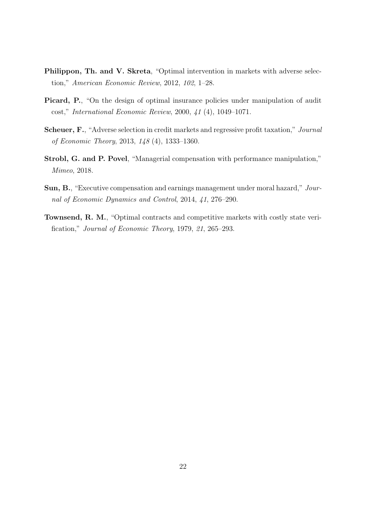- Philippon, Th. and V. Skreta, "Optimal intervention in markets with adverse selection," American Economic Review, 2012, 102, 1–28.
- Picard, P., "On the design of optimal insurance policies under manipulation of audit cost," International Economic Review, 2000, 41 (4), 1049–1071.
- Scheuer, F., "Adverse selection in credit markets and regressive profit taxation," Journal of Economic Theory, 2013, 148 (4), 1333–1360.
- Strobl, G. and P. Povel, "Managerial compensation with performance manipulation," Mimeo, 2018.
- Sun, B., "Executive compensation and earnings management under moral hazard," Journal of Economic Dynamics and Control, 2014, 41, 276–290.
- Townsend, R. M., "Optimal contracts and competitive markets with costly state verification," Journal of Economic Theory, 1979, 21, 265–293.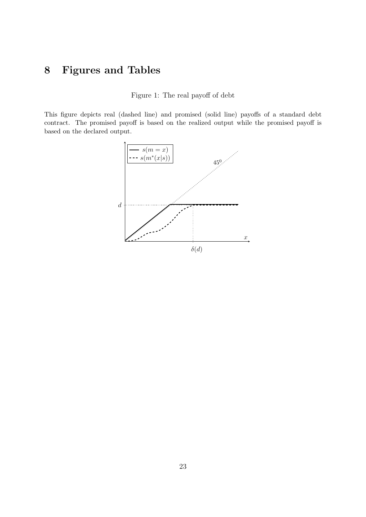# 8 Figures and Tables

Figure 1: The real payoff of debt

This figure depicts real (dashed line) and promised (solid line) payoffs of a standard debt contract. The promised payoff is based on the realized output while the promised payoff is based on the declared output.

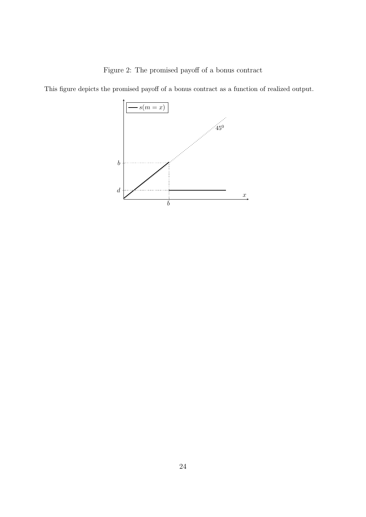

This figure depicts the promised payoff of a bonus contract as a function of realized output.

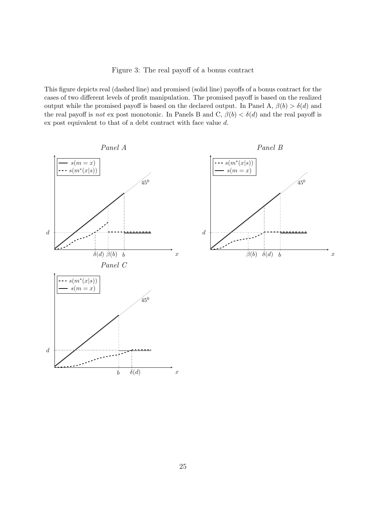This figure depicts real (dashed line) and promised (solid line) payoffs of a bonus contract for the cases of two different levels of profit manipulation. The promised payoff is based on the realized output while the promised payoff is based on the declared output. In Panel A,  $\beta(b) > \delta(d)$  and the real payoff is *not* ex post monotonic. In Panels B and C,  $\beta(b) < \delta(d)$  and the real payoff is ex post equivalent to that of a debt contract with face value d.

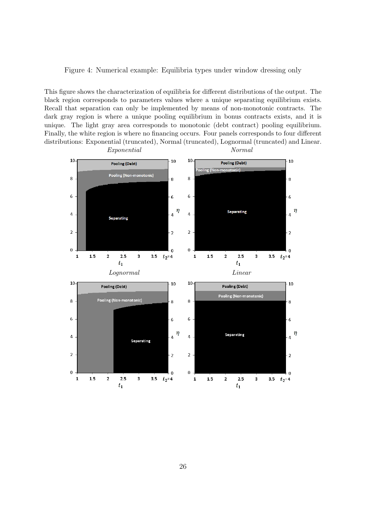Figure 4: Numerical example: Equilibria types under window dressing only

This figure shows the characterization of equilibria for different distributions of the output. The black region corresponds to parameters values where a unique separating equilibrium exists. Recall that separation can only be implemented by means of non-monotonic contracts. The dark gray region is where a unique pooling equilibrium in bonus contracts exists, and it is unique. The light gray area corresponds to monotonic (debt contract) pooling equilibrium. Finally, the white region is where no financing occurs. Four panels corresponds to four different distributions: Exponential (truncated), Normal (truncated), Lognormal (truncated) and Linear.

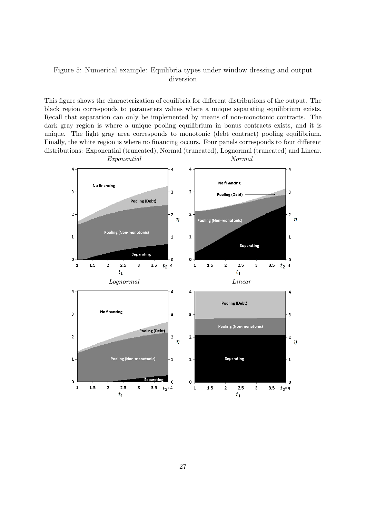### Figure 5: Numerical example: Equilibria types under window dressing and output diversion

This figure shows the characterization of equilibria for different distributions of the output. The black region corresponds to parameters values where a unique separating equilibrium exists. Recall that separation can only be implemented by means of non-monotonic contracts. The dark gray region is where a unique pooling equilibrium in bonus contracts exists, and it is unique. The light gray area corresponds to monotonic (debt contract) pooling equilibrium. Finally, the white region is where no financing occurs. Four panels corresponds to four different distributions: Exponential (truncated), Normal (truncated), Lognormal (truncated) and Linear.

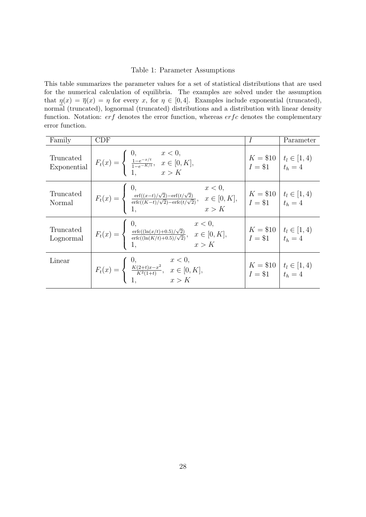### Table 1: Parameter Assumptions

This table summarizes the parameter values for a set of statistical distributions that are used for the numerical calculation of equilibria. The examples are solved under the assumption that  $\eta(x) = \overline{\eta}(x) = \eta$  for every x, for  $\eta \in [0, 4]$ . Examples include exponential (truncated), normal (truncated), lognormal (truncated) distributions and a distribution with linear density function. Notation:  $erf$  denotes the error function, whereas  $erfc$  denotes the complementary error function.

| Family                 | CDF                                                                                                                                                                                                                                                                         | I                                                | Parameter                                        |
|------------------------|-----------------------------------------------------------------------------------------------------------------------------------------------------------------------------------------------------------------------------------------------------------------------------|--------------------------------------------------|--------------------------------------------------|
|                        | Truncated<br>Exponential $F_t(x) = \begin{cases} 0, & x < 0, \\ \frac{1-e^{-x/t}}{1-e^{-K/t}}, & x \in [0, K], \\ 1, & x > K \end{cases}$                                                                                                                                   |                                                  | $K = $10$ $t_l \in [1, 4)$<br>$I = $1$ $t_h = 4$ |
| Truncated<br>Normal    | $F_t(x) = \begin{cases} 0, & x < 0, \\ \frac{\text{erf}((x-t)/\sqrt{2}) - \text{erf}(t/\sqrt{2})}{\text{erfc}((K-t)/\sqrt{2}) - \text{erfc}(t/\sqrt{2})}, & x \in [0, K], \\ 1, & x > K \end{cases}$ $K = $10$ $\begin{array}{ l l } t_l \in [1, 4) \\ t_h = 4 \end{array}$ |                                                  |                                                  |
| Truncated<br>Lognormal | $F_t(x) = \begin{cases} 0, & x < 0, \\ \frac{\text{erfc}((\ln(x/t) + 0.5)/\sqrt{2})}{\text{erfc}((\ln(K/t) + 0.5)/\sqrt{2})}, & x \in [0, K], \\ 1, & x > K \end{cases}$                                                                                                    | $K = $10$ $t_l \in [1, 4)$<br>$I = $1$ $t_h = 4$ |                                                  |
| Linear                 | $F_t(x) = \begin{cases} 0, & x < 0, \\ \frac{K(2+t)x - x^2}{K^2(1+t)}, & x \in [0, K], \\ 1, & x > K \end{cases}$                                                                                                                                                           | $K = $10$ $t_l \in [1, 4)$<br>$I = $1$ $t_h = 4$ |                                                  |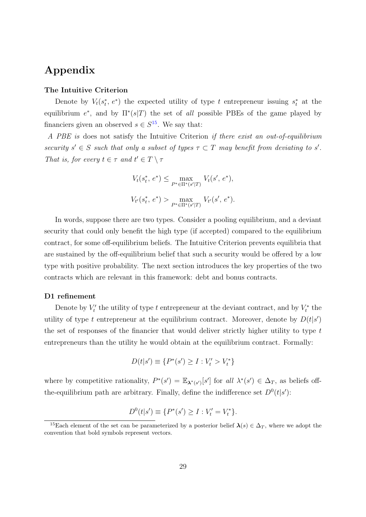# Appendix

### The Intuitive Criterion

Denote by  $V_t(s_t^*, e^*)$  the expected utility of type t entrepreneur issuing  $s_t^*$  at the equilibrium  $e^*$ , and by  $\Pi^*(s|T)$  the set of all possible PBEs of the game played by financiers given an observed  $s \in S^{15}$ . We say that:

A PBE is does not satisfy the Intuitive Criterion if there exist an out-of-equilibrium security  $s' \in S$  such that only a subset of types  $\tau \subset T$  may benefit from deviating to s'. That is, for every  $t \in \tau$  and  $t' \in T \setminus \tau$ 

$$
V_t(s_t^*, e^*) \le \max_{P^* \in \Pi^*(s'|T)} V_t(s', e^*),
$$
  

$$
V_{t'}(s_t^*, e^*) > \max_{P^* \in \Pi^*(s'|T)} V_{t'}(s', e^*).
$$

In words, suppose there are two types. Consider a pooling equilibrium, and a deviant security that could only benefit the high type (if accepted) compared to the equilibrium contract, for some off-equilibrium beliefs. The Intuitive Criterion prevents equilibria that are sustained by the off-equilibrium belief that such a security would be offered by a low type with positive probability. The next section introduces the key properties of the two contracts which are relevant in this framework: debt and bonus contracts.

### D1 refinement

Denote by  $V'_t$  the utility of type t entrepreneur at the deviant contract, and by  $V_t^*$  the utility of type t entrepreneur at the equilibrium contract. Moreover, denote by  $D(t|s')$ the set of responses of the financier that would deliver strictly higher utility to type  $t$ entrepreneurs than the utility he would obtain at the equilibrium contract. Formally:

$$
D(t|s') \equiv \{P^*(s') \ge I : V'_t > V^*_t\}
$$

where by competitive rationality,  $P^*(s') = \mathbb{E}_{\lambda^*(s')}[s']$  for all  $\lambda^*(s') \in \Delta_T$ , as beliefs offthe-equilibrium path are arbitrary. Finally, define the indifference set  $D^0(t|s')$ :

$$
D^{0}(t|s') \equiv \{P^*(s') \ge I : V'_t = V^*_t\}.
$$

<sup>&</sup>lt;sup>15</sup>Each element of the set can be parameterized by a posterior belief  $\lambda(s) \in \Delta_T$ , where we adopt the convention that bold symbols represent vectors.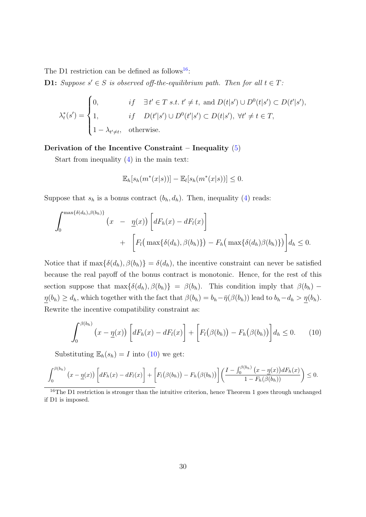The D1 restriction can be defined as follows<sup>16</sup>:

**D1:** Suppose  $s' \in S$  is observed off-the-equilibrium path. Then for all  $t \in T$ :

$$
\lambda_t^*(s') = \begin{cases} 0, & \text{if } \exists t' \in T \text{ s.t. } t' \neq t, \text{ and } D(t|s') \cup D^0(t|s') \subset D(t'|s'), \\ 1, & \text{if } D(t'|s') \cup D^0(t'|s') \subset D(t|s'), \forall t' \neq t \in T, \\ 1 - \lambda_{t' \neq t}, & \text{otherwise.} \end{cases}
$$

### Derivation of the Incentive Constraint – Inequality  $(5)$

Start from inequality (4) in the main text:

$$
\mathbb{E}_h[s_h(m^*(x|s))] - \mathbb{E}_l[s_h(m^*(x|s))] \leq 0.
$$

Suppose that  $s_h$  is a bonus contract  $(b_h, d_h)$ . Then, inequality (4) reads:

$$
\int_0^{\max\{\delta(d_h),\beta(b_h)\}} \left(x - \underline{\eta}(x)\right) \left[dF_h(x) - dF_l(x)\right] + \left[F_l\left(\max\{\delta(d_h),\beta(b_h)\}\right) - F_h\left(\max\{\delta(d_h),\beta(b_h)\}\right)\right] d_h \le 0.
$$

Notice that if  $\max{\{\delta(d_h), \beta(b_h)\}} = \delta(d_h)$ , the incentive constraint can never be satisfied because the real payoff of the bonus contract is monotonic. Hence, for the rest of this section suppose that  $\max{\{\delta(d_h), \beta(b_h)\}} = \beta(b_h)$ . This condition imply that  $\beta(b_h)$  –  $\underline{\eta}(b_h) \geq d_h$ , which together with the fact that  $\beta(b_h) = b_h - \overline{\eta}(\beta(b_h))$  lead to  $b_h - d_h > \underline{\eta}(b_h)$ . Rewrite the incentive compatibility constraint as:

$$
\int_0^{\beta(b_h)} \left( x - \underline{\eta}(x) \right) \left[ dF_h(x) - dF_l(x) \right] + \left[ F_l(\beta(b_h)) - F_h(\beta(b_h)) \right] d_h \le 0. \tag{10}
$$

Substituting  $\mathbb{E}_h(s_h) = I$  into (10) we get:

$$
\int_0^{\beta(b_h)} (x - \underline{\eta}(x)) \left[ dF_h(x) - dF_l(x) \right] + \left[ F_l(\beta(b_h)) - F_h(\beta(b_h)) \right] \left( \frac{I - \int_0^{\beta(b_h)} (x - \underline{\eta}(x)) dF_h(x)}{1 - F_h(\beta(b_h))} \right) \leq 0.
$$

<sup>16</sup>The D1 restriction is stronger than the intuitive criterion, hence Theorem 1 goes through unchanged if D1 is imposed.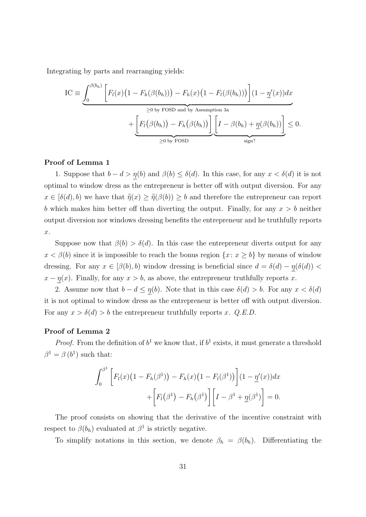Integrating by parts and rearranging yields:

$$
IC \equiv \underbrace{\int_0^{\beta(b_h)} \left[ F_l(x) \left( 1 - F_h(\beta(b_h)) \right) - F_h(x) \left( 1 - F_l(\beta(b_h)) \right) \right] (1 - \underline{\eta}'(x)) dx}_{\geq 0 \text{ by FOSD and by Assumption 3a}} + \underbrace{\left[ F_l(\beta(b_h)) - F_h(\beta(b_h)) \right] \left[ I - \beta(b_h) + \underline{\eta}(\beta(b_h)) \right]}_{\geq 0 \text{ by FOSD}} \leq 0.
$$

### Proof of Lemma 1

1. Suppose that  $b - d > \eta(b)$  and  $\beta(b) \leq \delta(d)$ . In this case, for any  $x < \delta(d)$  it is not optimal to window dress as the entrepreneur is better off with output diversion. For any  $x \in [\delta(d), b]$  we have that  $\bar{\bar{\eta}}(x) \geq \bar{\bar{\eta}}(\beta(b)) \geq b$  and therefore the entrepreneur can report b which makes him better off than diverting the output. Finally, for any  $x > b$  neither output diversion nor windows dressing benefits the entrepreneur and he truthfully reports x.

Suppose now that  $\beta(b) > \delta(d)$ . In this case the entrepreneur diverts output for any  $x < \beta(b)$  since it is impossible to reach the bonus region  $\{x : x \ge b\}$  by means of window dressing. For any  $x \in [\beta(b), b)$  window dressing is beneficial since  $d = \delta(d) - \underline{\eta}(\delta(d))$  $x - \underline{\eta}(x)$ . Finally, for any  $x > b$ , as above, the entrepreneur truthfully reports x.

2. Assume now that  $b - d \leq \eta(b)$ . Note that in this case  $\delta(d) > b$ . For any  $x < \delta(d)$ it is not optimal to window dress as the entrepreneur is better off with output diversion. For any  $x > \delta(d) > b$  the entrepreneur truthfully reports x. Q.E.D.

### Proof of Lemma 2

*Proof.* From the definition of  $b^1$  we know that, if  $b^1$  exists, it must generate a threshold  $\beta^1 = \beta(b^1)$  such that:

$$
\int_0^{\beta^1} \left[ F_l(x) \left( 1 - F_h(\beta^1) \right) - F_h(x) \left( 1 - F_l(\beta^1) \right) \right] (1 - \underline{\eta}'(x)) dx
$$

$$
+ \left[ F_l(\beta^1) - F_h(\beta^1) \right] \left[ I - \beta^1 + \underline{\eta}(\beta^1) \right] = 0.
$$

The proof consists on showing that the derivative of the incentive constraint with respect to  $\beta(b_h)$  evaluated at  $\beta^1$  is strictly negative.

To simplify notations in this section, we denote  $\beta_h = \beta(b_h)$ . Differentiating the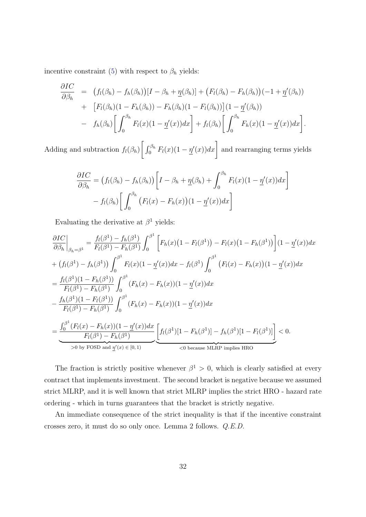incentive constraint (5) with respect to  $\beta_h$  yields:

$$
\frac{\partial IC}{\partial \beta_h} = (f_l(\beta_h) - f_h(\beta_h))[I - \beta_h + \underline{\eta}(\beta_h)] + (F_l(\beta_h) - F_h(\beta_h))(-1 + \underline{\eta}'(\beta_h))
$$
  
+ 
$$
[F_l(\beta_h)(1 - F_h(\beta_h)) - F_h(\beta_h)(1 - F_l(\beta_h))](1 - \underline{\eta}'(\beta_h))
$$
  
- 
$$
f_h(\beta_h) \left[ \int_0^{\beta_h} F_l(x)(1 - \underline{\eta}'(x))dx \right] + f_l(\beta_h) \left[ \int_0^{\beta_h} F_h(x)(1 - \underline{\eta}'(x))dx \right].
$$

Adding and subtraction  $f_l(\beta_h)$  $\left[\int_0^{\beta_h} F_l(x)(1-\underline{\eta}(x))dx\right]$  and rearranging terms yields

$$
\frac{\partial IC}{\partial \beta_h} = (f_l(\beta_h) - f_h(\beta_h)) \left[ I - \beta_h + \underline{\eta}(\beta_h) + \int_0^{\beta_h} F_l(x) (1 - \underline{\eta}'(x)) dx \right]
$$

$$
- f_l(\beta_h) \left[ \int_0^{\beta_h} (F_l(x) - F_h(x)) (1 - \underline{\eta}'(x)) dx \right]
$$

Evaluating the derivative at  $\beta^1$  yields:

$$
\frac{\partial IC}{\partial \beta_h}\Big|_{\beta_h=\beta^1} = \frac{f_l(\beta^1) - f_h(\beta^1)}{F_l(\beta^1) - F_h(\beta^1)} \int_0^{\beta^1} \Big[ F_h(x) (1 - F_l(\beta^1)) - F_l(x) (1 - F_h(\beta^1)) \Big] (1 - \underline{\eta}'(x)) dx
$$
  
+  $(f_l(\beta^1) - f_h(\beta^1)) \int_0^{\beta^1} F_l(x) (1 - \underline{\eta}'(x)) dx - f_l(\beta^1) \int_0^{\beta^1} (F_l(x) - F_h(x)) (1 - \underline{\eta}'(x)) dx$   
=  $\frac{f_l(\beta^1)(1 - F_h(\beta^1))}{F_l(\beta^1) - F_h(\beta^1)} \int_0^{\beta^1} (F_h(x) - F_h(x)) (1 - \underline{\eta}'(x)) dx$   
-  $\frac{f_h(\beta^1)(1 - F_l(\beta^1))}{F_l(\beta^1) - F_h(\beta^1)} \int_0^{\beta^1} (F_h(x) - F_h(x)) (1 - \underline{\eta}'(x)) dx$   
=  $\frac{\int_0^{\beta^1} (F_l(x) - F_h(x)) (1 - \underline{\eta}'(x)) dx}{F_l(\beta^1) - F_h(\beta^1)} \Big[ f_l(\beta^1)[1 - F_h(\beta^1)] - f_h(\beta^1)[1 - F_l(\beta^1)] \Big] < 0.$   
so by FOSD and  $\underline{\eta}'(x) \in [0, 1)$   $\le 0$  because MLRP implies HRO

The fraction is strictly positive whenever  $\beta^1 > 0$ , which is clearly satisfied at every contract that implements investment. The second bracket is negative because we assumed strict MLRP, and it is well known that strict MLRP implies the strict HRO - hazard rate ordering - which in turns guarantees that the bracket is strictly negative.

An immediate consequence of the strict inequality is that if the incentive constraint crosses zero, it must do so only once. Lemma 2 follows. Q.E.D.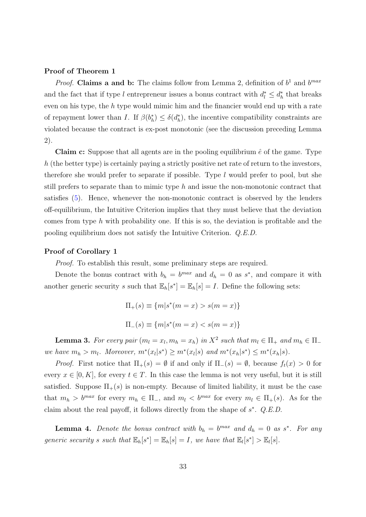### Proof of Theorem 1

*Proof.* Claims a and b: The claims follow from Lemma 2, definition of  $b<sup>1</sup>$  and  $b<sup>max</sup>$ and the fact that if type l entrepreneur issues a bonus contract with  $d_l^* \leq d_h^*$  that breaks even on his type, the h type would mimic him and the financier would end up with a rate of repayment lower than I. If  $\beta(b_h^*) \leq \delta(d_h^*)$ , the incentive compatibility constraints are violated because the contract is ex-post monotonic (see the discussion preceding Lemma 2).

**Claim c:** Suppose that all agents are in the pooling equilibrium  $\hat{e}$  of the game. Type h (the better type) is certainly paying a strictly positive net rate of return to the investors, therefore she would prefer to separate if possible. Type  $l$  would prefer to pool, but she still prefers to separate than to mimic type  $h$  and issue the non-monotonic contract that satisfies (5). Hence, whenever the non-monotonic contract is observed by the lenders off-equilibrium, the Intuitive Criterion implies that they must believe that the deviation comes from type h with probability one. If this is so, the deviation is profitable and the pooling equilibrium does not satisfy the Intuitive Criterion. Q.E.D.

### Proof of Corollary 1

Proof. To establish this result, some preliminary steps are required.

Denote the bonus contract with  $b_h = b^{max}$  and  $d_h = 0$  as  $s^*$ , and compare it with another generic security s such that  $\mathbb{E}_h[s^*] = \mathbb{E}_h[s] = I$ . Define the following sets:

$$
\Pi_{+}(s) \equiv \{m|s^*(m=x) > s(m=x)\}
$$
  

$$
\Pi_{-}(s) \equiv \{m|s^*(m=x) < s(m=x)\}
$$

**Lemma 3.** For every pair  $(m_l = x_l, m_h = x_h)$  in  $X^2$  such that  $m_l \in \Pi_+$  and  $m_h \in \Pi_$ we have  $m_h > m_l$ . Moreover,  $m^*(x_l|s^*) \ge m^*(x_l|s)$  and  $m^*(x_h|s^*) \le m^*(x_h|s)$ .

*Proof.* First notice that  $\Pi_+(s) = \emptyset$  if and only if  $\Pi_-(s) = \emptyset$ , because  $f_t(x) > 0$  for every  $x \in [0, K]$ , for every  $t \in T$ . In this case the lemma is not very useful, but it is still satisfied. Suppose  $\Pi_{+}(s)$  is non-empty. Because of limited liability, it must be the case that  $m_h > b^{max}$  for every  $m_h \in \Pi_{-}$ , and  $m_l < b^{max}$  for every  $m_l \in \Pi_{+}(s)$ . As for the claim about the real payoff, it follows directly from the shape of  $s^*$ .  $Q.E.D.$ 

**Lemma 4.** Denote the bonus contract with  $b_h = b^{max}$  and  $d_h = 0$  as s<sup>\*</sup>. For any generic security s such that  $\mathbb{E}_h[s^*] = \mathbb{E}_h[s] = I$ , we have that  $\mathbb{E}_l[s^*] > \mathbb{E}_l[s]$ .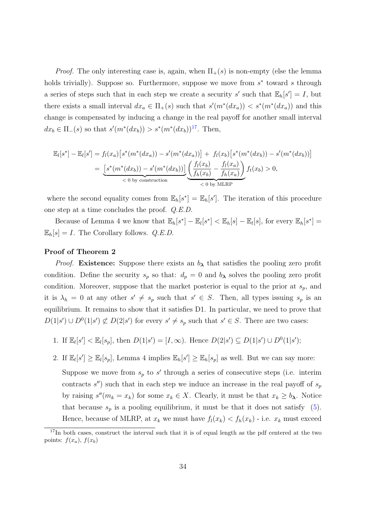*Proof.* The only interesting case is, again, when  $\Pi_{+}(s)$  is non-empty (else the lemma holds trivially). Suppose so. Furthermore, suppose we move from  $s^*$  toward s through a series of steps such that in each step we create a security s' such that  $\mathbb{E}_h[s'] = I$ , but there exists a small interval  $dx_a \in \Pi_+(s)$  such that  $s'(m^*(dx_a)) < s^*(m^*(dx_a))$  and this change is compensated by inducing a change in the real payoff for another small interval  $dx_b \in \Pi_-(s)$  so that  $s'(m^*(dx_b)) > s^*(m^*(dx_b))^{17}$ . Then,

$$
\mathbb{E}_{l}[s^{*}] - \mathbb{E}_{l}[s'] = f_{l}(x_{a}) [s^{*}(m^{*}(dx_{a})) - s'(m^{*}(dx_{a}))] + f_{l}(x_{b}) [s^{*}(m^{*}(dx_{b})) - s'(m^{*}(dx_{b}))]
$$
\n
$$
= \underbrace{[s^{*}(m^{*}(dx_{b})) - s'(m^{*}(dx_{b}))]}_{\lt 0 \text{ by construction}} \underbrace{\left(\frac{f_{l}(x_{b})}{f_{h}(x_{b})} - \frac{f_{l}(x_{a})}{f_{h}(x_{a})}\right)}_{\lt 0 \text{ by MLRP}} f_{t}(x_{b}) > 0,
$$

where the second equality comes from  $\mathbb{E}_h[s^*] = \mathbb{E}_h[s']$ . The iteration of this procedure one step at a time concludes the proof. Q.E.D.

Because of Lemma 4 we know that  $\mathbb{E}_h[s^*] - \mathbb{E}_l[s^*] < \mathbb{E}_h[s] - \mathbb{E}_l[s]$ , for every  $\mathbb{E}_h[s^*] =$  $\mathbb{E}_h[s] = I$ . The Corollary follows. Q.E.D.

### Proof of Theorem 2

*Proof.* Existence: Suppose there exists an  $b_{\lambda}$  that satisfies the pooling zero profit condition. Define the security  $s_p$  so that:  $d_p = 0$  and  $b_\lambda$  solves the pooling zero profit condition. Moreover, suppose that the market posterior is equal to the prior at  $s_p$ , and it is  $\lambda_h = 0$  at any other  $s' \neq s_p$  such that  $s' \in S$ . Then, all types issuing  $s_p$  is an equilibrium. It remains to show that it satisfies D1. In particular, we need to prove that  $D(1|s') \cup D^{0}(1|s') \not\subset D(2|s')$  for every  $s' \neq s_p$  such that  $s' \in S$ . There are two cases:

1. If  $\mathbb{E}_l[s'] < \mathbb{E}_l[s_p]$ , then  $D(1|s') = [I, \infty)$ . Hence  $D(2|s') \subseteq D(1|s') \cup D^0(1|s')$ ;

2. If  $\mathbb{E}_l[s'] \geq \mathbb{E}_l[s_p]$ , Lemma 4 implies  $\mathbb{E}_h[s'] \geq \mathbb{E}_h[s_p]$  as well. But we can say more:

Suppose we move from  $s_p$  to s' through a series of consecutive steps (i.e. interim contracts  $s'$ ) such that in each step we induce an increase in the real payoff of  $s_p$ by raising  $s''(m_k = x_k)$  for some  $x_k \in X$ . Clearly, it must be that  $x_k \ge b_\lambda$ . Notice that because  $s_p$  is a pooling equilibrium, it must be that it does not satisfy (5). Hence, because of MLRP, at  $x_k$  we must have  $f_l(x_k) < f_h(x_k)$  - i.e.  $x_k$  must exceed

<sup>&</sup>lt;sup>17</sup>In both cases, construct the interval such that it is of equal length as the pdf centered at the two points:  $f(x_a)$ ,  $f(x_b)$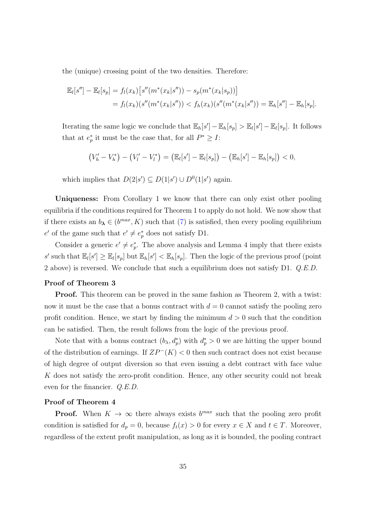the (unique) crossing point of the two densities. Therefore:

$$
\mathbb{E}_{l}[s''] - \mathbb{E}_{l}[s_{p}] = f_{l}(x_{k})[s''(m^{*}(x_{k}|s'')) - s_{p}(m^{*}(x_{k}|s_{p}))]
$$
  
=  $f_{l}(x_{k})(s''(m^{*}(x_{k}|s'')) < f_{h}(x_{k})(s''(m^{*}(x_{k}|s'')) = \mathbb{E}_{h}[s''] - \mathbb{E}_{h}[s_{p}].$ 

Iterating the same logic we conclude that  $\mathbb{E}_h[s'] - \mathbb{E}_h[s_p] > \mathbb{E}_l[s'] - \mathbb{E}_l[s_p]$ . It follows that at  $e_p^*$  it must be the case that, for all  $P^* \geq I$ :

$$
(V'_{h} - V'_{h}) - (V'_{l} - V'_{l}) = (\mathbb{E}_{l}[s'] - \mathbb{E}_{l}[s_{p}]) - (\mathbb{E}_{h}[s'] - \mathbb{E}_{h}[s_{p}]) < 0,
$$

which implies that  $D(2|s') \subseteq D(1|s') \cup D^0(1|s')$  again.

Uniqueness: From Corollary 1 we know that there can only exist other pooling equilibria if the conditions required for Theorem 1 to apply do not hold. We now show that if there exists an  $b_{\lambda} \in (b^{max}, K)$  such that (7) is satisfied, then every pooling equilibrium  $e'$  of the game such that  $e' \neq e_p^*$  does not satisfy D1.

Consider a generic  $e' \neq e_p^*$ . The above analysis and Lemma 4 imply that there exists s' such that  $\mathbb{E}_l[s'] \geq \mathbb{E}_l[s_p]$  but  $\mathbb{E}_h[s'] < \mathbb{E}_h[s_p]$ . Then the logic of the previous proof (point 2 above) is reversed. We conclude that such a equilibrium does not satisfy D1. Q.E.D.

### Proof of Theorem 3

Proof. This theorem can be proved in the same fashion as Theorem 2, with a twist: now it must be the case that a bonus contract with  $d = 0$  cannot satisfy the pooling zero profit condition. Hence, we start by finding the minimum  $d > 0$  such that the condition can be satisfied. Then, the result follows from the logic of the previous proof.

Note that with a bonus contract  $(b_{\lambda}, d_p^*)$  with  $d_p^* > 0$  we are hitting the upper bound of the distribution of earnings. If  $ZP^{-}(K) < 0$  then such contract does not exist because of high degree of output diversion so that even issuing a debt contract with face value K does not satisfy the zero-profit condition. Hence, any other security could not break even for the financier. Q.E.D.

### Proof of Theorem 4

**Proof.** When  $K \to \infty$  there always exists  $b^{max}$  such that the pooling zero profit condition is satisfied for  $d_p = 0$ , because  $f_t(x) > 0$  for every  $x \in X$  and  $t \in T$ . Moreover, regardless of the extent profit manipulation, as long as it is bounded, the pooling contract